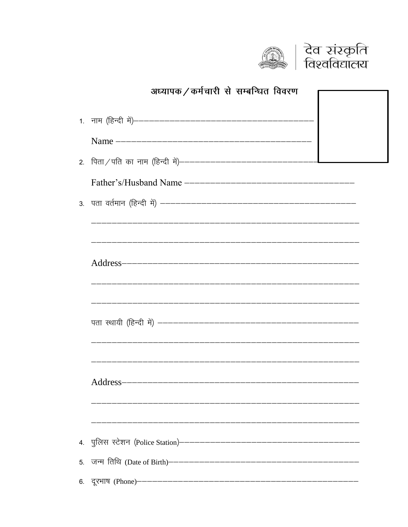



|    | अध्यापक / कर्मचारी से सम्बन्धित विवरण                         |
|----|---------------------------------------------------------------|
|    |                                                               |
|    |                                                               |
|    |                                                               |
|    |                                                               |
|    |                                                               |
|    |                                                               |
|    |                                                               |
|    |                                                               |
|    |                                                               |
|    |                                                               |
|    |                                                               |
|    | पता स्थायी (हिन्दी में) ——————————————————————————————————–   |
|    |                                                               |
|    |                                                               |
|    |                                                               |
|    |                                                               |
|    |                                                               |
|    | 4. पुलिस स्टेशन (Police Station)————————————————————————————— |
| 5. |                                                               |
| 6. | दूरभाष (Phone)—————————————————————————————                   |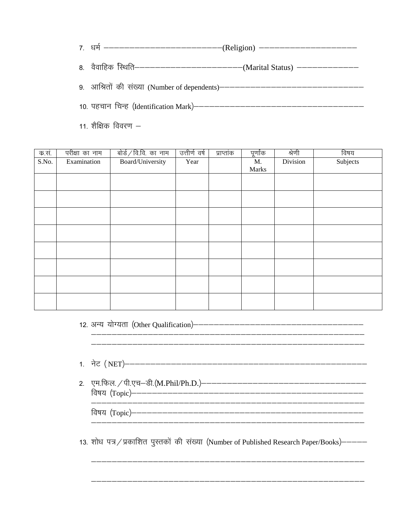- 
- वैवाहिक स्थिति––––––––––––––––––––––––(Marital Status) –––––––––––––– 8.

 $11.$  शैक्षिक विवरण  $-$ 

| क सं  | परीक्षा का नाम | बोर्ड / वि.वि. का नाम | उत्तीर्ण वर्ष | प्राप्तांक | पूर्णाक | श्रेणी   | विषय     |
|-------|----------------|-----------------------|---------------|------------|---------|----------|----------|
| S.No. | Examination    | Board/University      | Year          |            | M.      | Division | Subjects |
|       |                |                       |               |            | Marks   |          |          |
|       |                |                       |               |            |         |          |          |
|       |                |                       |               |            |         |          |          |
|       |                |                       |               |            |         |          |          |
|       |                |                       |               |            |         |          |          |
|       |                |                       |               |            |         |          |          |
|       |                |                       |               |            |         |          |          |
|       |                |                       |               |            |         |          |          |
|       |                |                       |               |            |         |          |          |
|       |                |                       |               |            |         |          |          |
|       |                |                       |               |            |         |          |          |
|       |                |                       |               |            |         |          |          |
|       |                |                       |               |            |         |          |          |
|       |                |                       |               |            |         |          |          |

- 
- 

13. शोध पत्र / प्रकाशित पुस्तकों की संख्या (Number of Published Research Paper/Books)————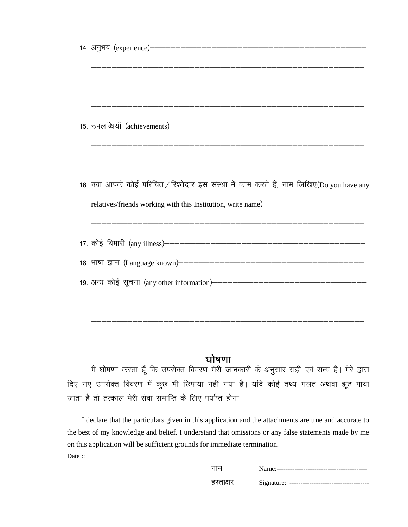| 15. उपलब्धियाँ (achievements)————————————————————————————————                            |
|------------------------------------------------------------------------------------------|
|                                                                                          |
| 16. क्या आपके कोई परिचित/रिश्तेदार इस संस्था में काम करते हैं, नाम लिखिए(Do you have any |
| relatives/friends working with this Institution, write name) --------------------------  |
|                                                                                          |
|                                                                                          |
|                                                                                          |
|                                                                                          |
|                                                                                          |
|                                                                                          |

## घोषणा

मैं घोषणा करता हूँ कि उपरोक्त विवरण मेरी जानकारी के अनुसार सही एवं सत्य है। मेरे द्वारा दिए गए उपरोक्त विवरण में कुछ भी छिपाया नहीं गया है। यदि कोई तथ्य गलत अथवा झूठ पाया जाता है तो तत्काल मेरी सेवा समाप्ति के लिए पर्याप्त होगा।

I declare that the particulars given in this application and the attachments are true and accurate to the best of my knowledge and belief. I understand that omissions or any false statements made by me on this application will be sufficient grounds for immediate termination. Date:

| नाम       |  |
|-----------|--|
| हस्ताक्षर |  |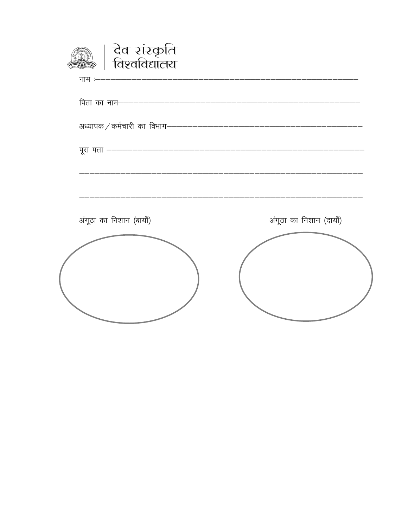| देव संस्कृति<br>विश्वविद्यालय                                  |                         |
|----------------------------------------------------------------|-------------------------|
| नाम :------------------------                                  |                         |
|                                                                |                         |
| अध्यापक / कर्मचारी का विभाग----------------------------------- |                         |
|                                                                |                         |
|                                                                |                         |
| अंगूठा का निशान (बायाँ)                                        | अंगूठा का निशान (दायाँ) |
|                                                                |                         |
|                                                                |                         |
|                                                                |                         |
|                                                                |                         |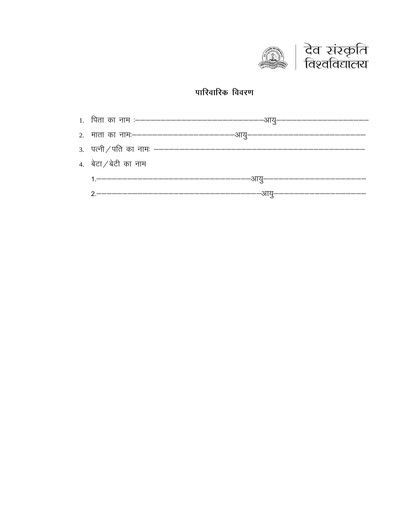

### पारिवारिक विवरण

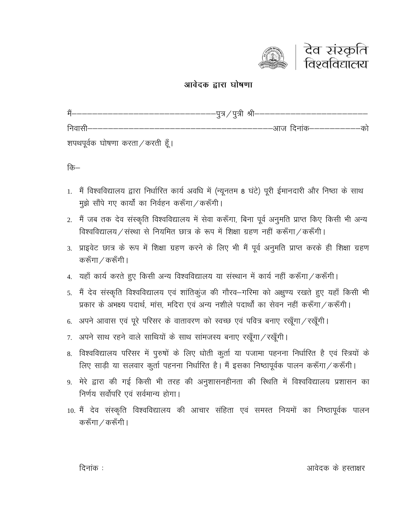

#### आवेदक द्वारा घोषणा

| #                                | --–पुत्र ⁄ पुत्री श्री-------------------- |  |
|----------------------------------|--------------------------------------------|--|
| निवासी————                       | ––आज दिनांक–––––––––––को                   |  |
| शपथपूर्वक घोषणा करता / करती हूँ। |                                            |  |

कि–

- 1. मैं विश्वविद्यालय द्वारा निर्धारित कार्य अवधि में (न्यूनतम 8 घंटे) पूरी ईमानदारी और निष्ठा के साथ मुझे सौंपे गए कार्यों का निर्वहन करूँगा / करूँगी।
- 2. मैं जब तक देव संस्कृति विश्वविद्यालय में सेवा करूँगा, बिना पूर्व अनुमति प्राप्त किए किसी भी अन्य विश्वविद्यालय / संस्था से नियमित छात्र के रूप में शिक्षा ग्रहण नहीं करूँगा / करूँगी।
- 3. प्राइवेट छात्र के रूप में शिक्षा ग्रहण करने के लिए भी मैं पूर्व अनुमति प्राप्त करके ही शिक्षा ग्रहण करूँगा / करूँगी।
- 4. यहाँ कार्य करते हुए किसी अन्य विश्वविद्यालय या संस्थान में कार्य नहीं करूँगा / करूँगी।
- 5. मैं देव संस्कृति विश्वविद्यालय एवं शांतिकुंज की गौरव–गरिमा को अक्षुण्य रखते हुए यहाँ किसी भी प्रकार के अभक्ष्य पदार्थ. मांस. मदिरा एवं अन्य नशीले पदार्थों का सेवन नहीं करूँगा / करूँगी।
- 6. अपने आवास एवं पूरे परिसर के वातावरण को स्वच्छ एवं पवित्र बनाए रखूँगा / रखूँगी।
- 7. अपने साथ रहने वाले साथियों के साथ सांमजस्य बनाए रखूँगा/रखूँगी।
- 8. विश्वविद्यालय परिसर में पुरुषों के लिए धोती कुर्ता या पजामा पहनना निर्धारित है एवं स्त्रियों के लिए साड़ी या सलवार कुर्ता पहनना निर्धारित है। मैं इसका निष्ठापूर्वक पालन करूँगा / करूँगी।
- 9. मेरे द्वारा की गई किसी भी तरह की अनुशासनहीनता की स्थिति में विश्वविद्यालय प्रशासन का निर्णय सर्वोपरि एवं सर्वमान्य होगा।
- 10. मैं देव संस्कृति विश्वविद्यालय की आचार संहिता एवं समस्त नियमों का निष्ठापूर्वक पालन करूँगा / करूँगी।

दिनांक :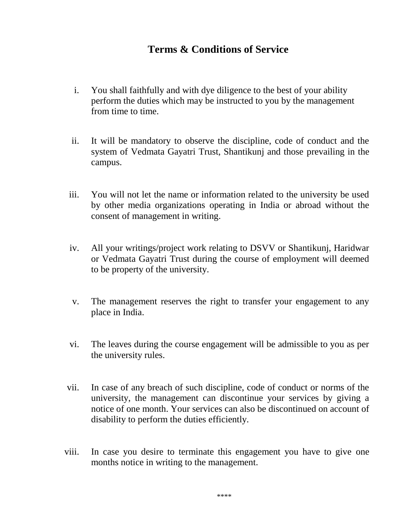## **Terms & Conditions of Service**

- i. You shall faithfully and with dye diligence to the best of your ability perform the duties which may be instructed to you by the management from time to time.
- ii. It will be mandatory to observe the discipline, code of conduct and the system of Vedmata Gayatri Trust, Shantikunj and those prevailing in the campus.
- iii. You will not let the name or information related to the university be used by other media organizations operating in India or abroad without the consent of management in writing.
- iv. All your writings/project work relating to DSVV or Shantikunj, Haridwar or Vedmata Gayatri Trust during the course of employment will deemed to be property of the university.
- v. The management reserves the right to transfer your engagement to any place in India.
- vi. The leaves during the course engagement will be admissible to you as per the university rules.
- vii. In case of any breach of such discipline, code of conduct or norms of the university, the management can discontinue your services by giving a notice of one month. Your services can also be discontinued on account of disability to perform the duties efficiently.
- viii. In case you desire to terminate this engagement you have to give one months notice in writing to the management.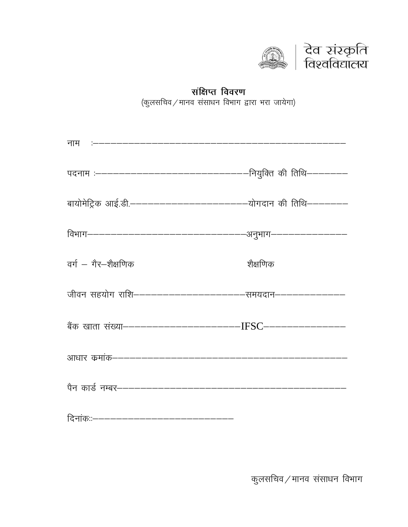

# संक्षिप्त विवरण (कुलसचिव/मानव संसाधन विभाग द्वारा भरा जायेगा)

| नाम :-------------------------------                       |          |
|------------------------------------------------------------|----------|
|                                                            |          |
|                                                            |          |
|                                                            |          |
| वर्ग – गैर–शैक्षणिक                                        | शैक्षणिक |
| जीवन सहयोग राशि------------------------समयदान------------- |          |
|                                                            |          |
|                                                            |          |
|                                                            |          |
| दिनांकःः------------------------------                     |          |

कुलसचिव $\diagup$ मानव संसाधन विभाग